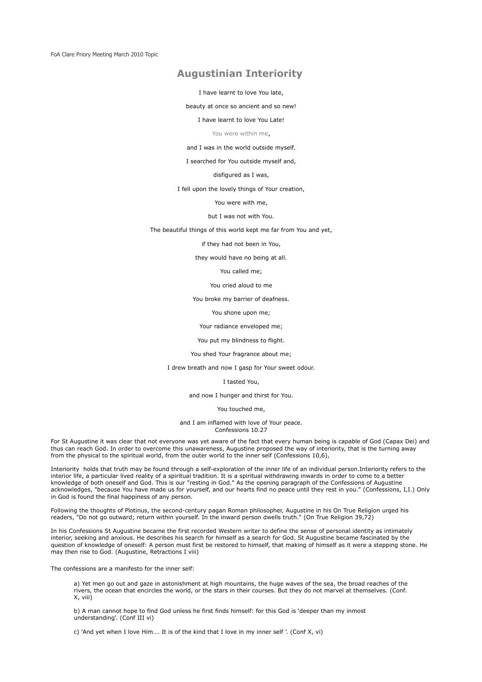FoA Clare Priory Meeting March 2010 Topic

# **Augustinian Interiority**

I have learnt to love You late,

beauty at once so ancient and so new!

I have learnt to love You Late!

#### You were within me,

and I was in the world outside myself.

I searched for You outside myself and,

### disfigured as I was,

I fell upon the lovely things of Your creation,

#### You were with me,

but I was not with You.

The beautiful things of this world kept me far from You and yet,

if they had not been in You,

they would have no being at all.

#### You called me;

#### You cried aloud to me

You broke my barrier of deafness.

#### You shone upon me;

Your radiance enveloped me;

## You put my blindness to flight.

You shed Your fragrance about me;

#### I drew breath and now I gasp for Your sweet odour.

#### I tasted You,

#### and now I hunger and thirst for You.

#### You touched me,

#### and I am inflamed with love of Your peace. Confessions 10.27

For St Augustine it was clear that not everyone was yet aware of the fact that every human being is capable of God (Capax Dei) and thus can reach God. In order to overcome this unawareness, Augustine proposed the way of interiority, that is the turning away from the physical to the spiritual world, from the outer world to the inner self (Confessions 10,6),

Interiority holds that truth may be found through a self-exploration of the inner life of an individual person.Interiority refers to the interior life, a particular lived reality of a spiritual tradition. It is a spiritual withdrawing inwards in order to come to a better knowledge of both oneself and God. This is our "resting in God." As the opening paragraph of the Confessions of Augustine acknowledges, "because You have made us for yourself, and our hearts find no peace until they rest in you." (Confessions, I,I.) Only in God is found the final happiness of any person.

Following the thoughts of Plotinus, the second-century pagan Roman philosopher, Augustine in his On True Religion urged his readers, "Do not go outward; return within yourself. In the inward person dwells truth." (On True Religion 39,72)

In his Confessions St Augustine became the first recorded Western writer to define the sense of personal identity as intimately interior, seeking and anxious. He describes his search for himself as a search for God. St Augustine became fascinated by the question of knowledge of oneself: A person must first be restored to himself, that making of himself as it were a stepping stone. He may then rise to God. (Augustine, Retractions I viii)

The confessions are a manifesto for the inner self:

a) Yet men go out and gaze in astonishment at high mountains, the huge waves of the sea, the broad reaches of the rivers, the ocean that encircles the world, or the stars in their courses. But they do not marvel at themselves. (Conf. X, viii)

b) A man cannot hope to find God unless he first finds himself: for this God is 'deeper than my inmost understanding'. (Conf III vi)

c) 'And yet when I love Him…. It is of the kind that I love in my inner self '. (Conf X, vi)